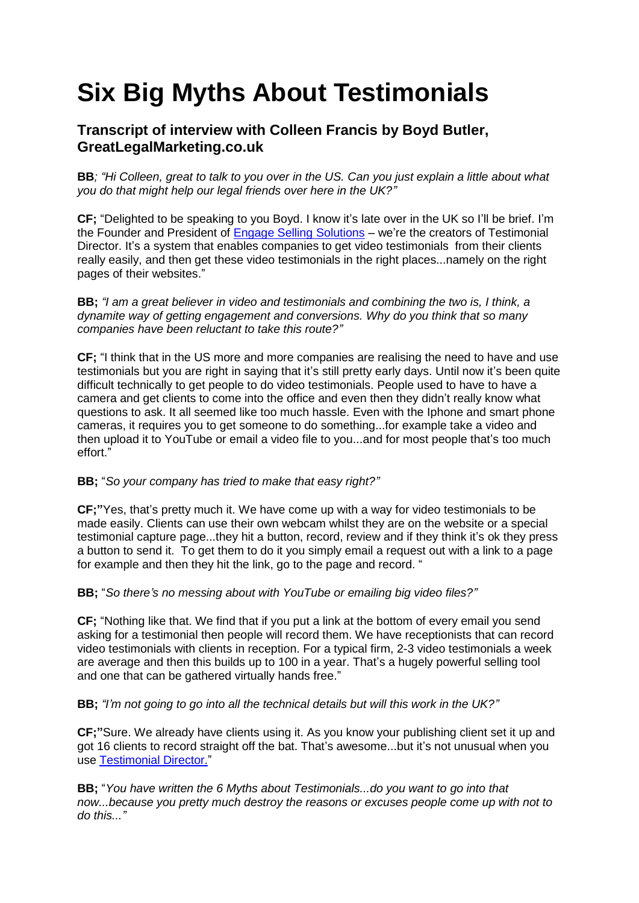# **Six Big Myths About Testimonials**

## **Transcript of interview with Colleen Francis by Boyd Butler, GreatLegalMarketing.co.uk**

**BB***; "Hi Colleen, great to talk to you over in the US. Can you just explain a little about what you do that might help our legal friends over here in the UK?"*

**CF;** "Delighted to be speaking to you Boyd. I know it's late over in the UK so I'll be brief. I'm the Founder and President of [Engage Selling Solutions](https://engage.infusionsoft.com/go/testimonial/a920/) – we're the creators of Testimonial Director. It's a system that enables companies to get video testimonials from their clients really easily, and then get these video testimonials in the right places...namely on the right pages of their websites."

**BB;** *"I am a great believer in video and testimonials and combining the two is, I think, a dynamite way of getting engagement and conversions. Why do you think that so many companies have been reluctant to take this route?"*

**CF;** "I think that in the US more and more companies are realising the need to have and use testimonials but you are right in saying that it's still pretty early days. Until now it's been quite difficult technically to get people to do video testimonials. People used to have to have a camera and get clients to come into the office and even then they didn't really know what questions to ask. It all seemed like too much hassle. Even with the Iphone and smart phone cameras, it requires you to get someone to do something...for example take a video and then upload it to YouTube or email a video file to you...and for most people that's too much effort."

#### **BB;** "*So your company has tried to make that easy right?"*

**CF;"**Yes, that's pretty much it. We have come up with a way for video testimonials to be made easily. Clients can use their own webcam whilst they are on the website or a special testimonial capture page...they hit a button, record, review and if they think it's ok they press a button to send it. To get them to do it you simply email a request out with a link to a page for example and then they hit the link, go to the page and record. "

**BB;** "*So there's no messing about with YouTube or emailing big video files?"*

**CF;** "Nothing like that. We find that if you put a link at the bottom of every email you send asking for a testimonial then people will record them. We have receptionists that can record video testimonials with clients in reception. For a typical firm, 2-3 video testimonials a week are average and then this builds up to 100 in a year. That's a hugely powerful selling tool and one that can be gathered virtually hands free."

**BB;** *"I'm not going to go into all the technical details but will this work in the UK?"*

**CF;"**Sure. We already have clients using it. As you know your publishing client set it up and got 16 clients to record straight off the bat. That's awesome...but it's not unusual when you use [Testimonial Director."](https://engage.infusionsoft.com/go/testimonial/a920/)

**BB;** "*You have written the 6 Myths about Testimonials...do you want to go into that now...because you pretty much destroy the reasons or excuses people come up with not to do this..."*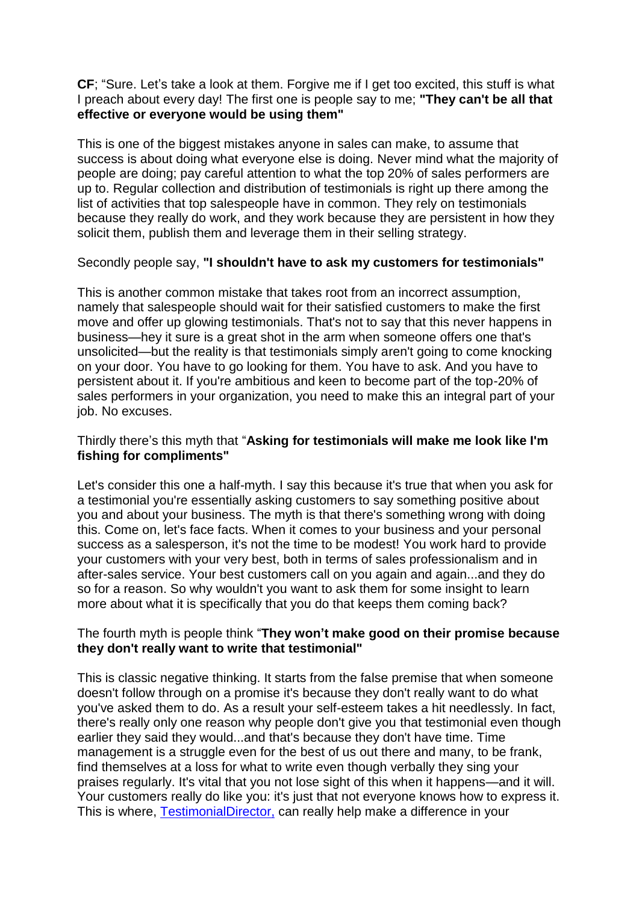**CF**; "Sure. Let's take a look at them. Forgive me if I get too excited, this stuff is what I preach about every day! The first one is people say to me; **"They can't be all that effective or everyone would be using them"**

This is one of the biggest mistakes anyone in sales can make, to assume that success is about doing what everyone else is doing. Never mind what the majority of people are doing; pay careful attention to what the top 20% of sales performers are up to. Regular collection and distribution of testimonials is right up there among the list of activities that top salespeople have in common. They rely on testimonials because they really do work, and they work because they are persistent in how they solicit them, publish them and leverage them in their selling strategy.

#### Secondly people say, **"I shouldn't have to ask my customers for testimonials"**

This is another common mistake that takes root from an incorrect assumption, namely that salespeople should wait for their satisfied customers to make the first move and offer up glowing testimonials. That's not to say that this never happens in business—hey it sure is a great shot in the arm when someone offers one that's unsolicited—but the reality is that testimonials simply aren't going to come knocking on your door. You have to go looking for them. You have to ask. And you have to persistent about it. If you're ambitious and keen to become part of the top-20% of sales performers in your organization, you need to make this an integral part of your job. No excuses.

#### Thirdly there's this myth that "**Asking for testimonials will make me look like I'm fishing for compliments"**

Let's consider this one a half-myth. I say this because it's true that when you ask for a testimonial you're essentially asking customers to say something positive about you and about your business. The myth is that there's something wrong with doing this. Come on, let's face facts. When it comes to your business and your personal success as a salesperson, it's not the time to be modest! You work hard to provide your customers with your very best, both in terms of sales professionalism and in after-sales service. Your best customers call on you again and again...and they do so for a reason. So why wouldn't you want to ask them for some insight to learn more about what it is specifically that you do that keeps them coming back?

### The fourth myth is people think "**They won't make good on their promise because they don't really want to write that testimonial"**

This is classic negative thinking. It starts from the false premise that when someone doesn't follow through on a promise it's because they don't really want to do what you've asked them to do. As a result your self-esteem takes a hit needlessly. In fact, there's really only one reason why people don't give you that testimonial even though earlier they said they would...and that's because they don't have time. Time management is a struggle even for the best of us out there and many, to be frank, find themselves at a loss for what to write even though verbally they sing your praises regularly. It's vital that you not lose sight of this when it happens—and it will. Your customers really do like you: it's just that not everyone knows how to express it. This is where, [TestimonialDirector,](https://engage.infusionsoft.com/go/testimonial/a920/) can really help make a difference in your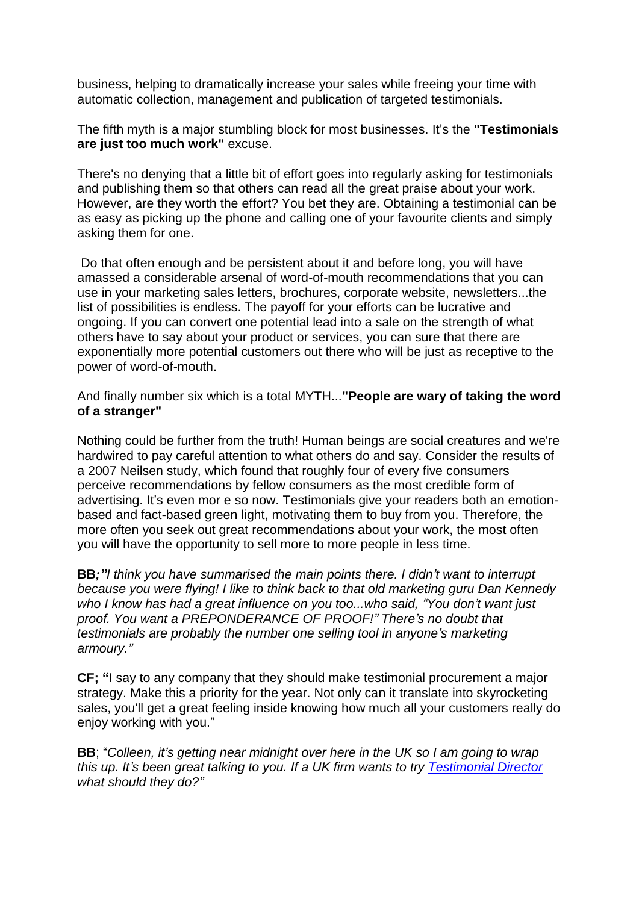business, helping to dramatically increase your sales while freeing your time with automatic collection, management and publication of targeted testimonials.

The fifth myth is a major stumbling block for most businesses. It's the **"Testimonials are just too much work"** excuse.

There's no denying that a little bit of effort goes into regularly asking for testimonials and publishing them so that others can read all the great praise about your work. However, are they worth the effort? You bet they are. Obtaining a testimonial can be as easy as picking up the phone and calling one of your favourite clients and simply asking them for one.

Do that often enough and be persistent about it and before long, you will have amassed a considerable arsenal of word-of-mouth recommendations that you can use in your marketing sales letters, brochures, corporate website, newsletters...the list of possibilities is endless. The payoff for your efforts can be lucrative and ongoing. If you can convert one potential lead into a sale on the strength of what others have to say about your product or services, you can sure that there are exponentially more potential customers out there who will be just as receptive to the power of word-of-mouth.

And finally number six which is a total MYTH...**"People are wary of taking the word of a stranger"**

Nothing could be further from the truth! Human beings are social creatures and we're hardwired to pay careful attention to what others do and say. Consider the results of a 2007 Neilsen study, which found that roughly four of every five consumers perceive recommendations by fellow consumers as the most credible form of advertising. It's even mor e so now. Testimonials give your readers both an emotionbased and fact-based green light, motivating them to buy from you. Therefore, the more often you seek out great recommendations about your work, the most often you will have the opportunity to sell more to more people in less time.

**BB***;"I think you have summarised the main points there. I didn't want to interrupt because you were flying! I like to think back to that old marketing guru Dan Kennedy who I know has had a great influence on you too...who said, "You don't want just proof. You want a PREPONDERANCE OF PROOF!" There's no doubt that testimonials are probably the number one selling tool in anyone's marketing armoury."*

**CF; "**I say to any company that they should make testimonial procurement a major strategy. Make this a priority for the year. Not only can it translate into skyrocketing sales, you'll get a great feeling inside knowing how much all your customers really do enjoy working with you."

**BB**; "*Colleen, it's getting near midnight over here in the UK so I am going to wrap this up. It's been great talking to you. If a UK firm wants to try [Testimonial Director](https://engage.infusionsoft.com/go/testimonial/a920/) what should they do?"*